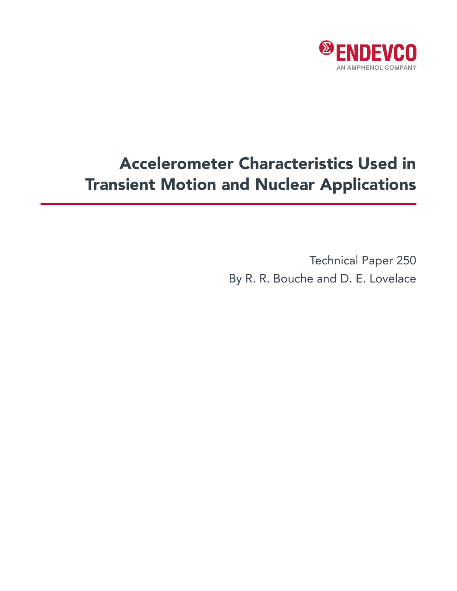

# Accelerometer Characteristics Used in Transient Motion and Nuclear Applications

Technical Paper 250 By R. R. Bouche and D. E. Lovelace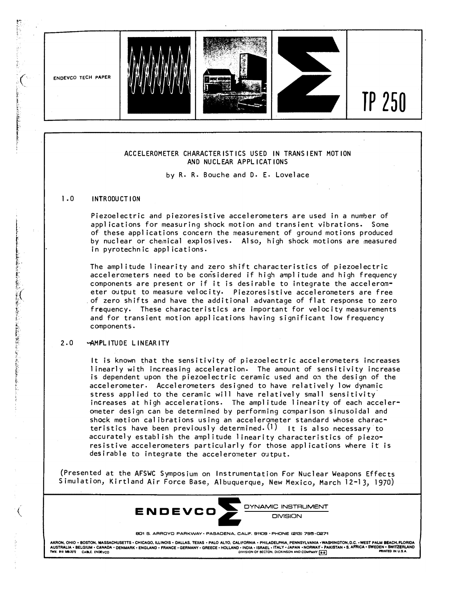

**801 S. ARROYO PARKWAY · PASADENA, CALIF, 91109 · PHONE (213) 795-0271** 

AKRON, OHIO • BOSTON, MASSACHUSETTS • CHICAGO, ILLINOIS • DALLAS, TEXAS • PALO ALTO, CALIFORNIA • PHILADELPHIA, PENNSYLVANIA •WASHINGTON, D.C. •WEST PALM BEACH, FLORIDA<br>AUSTRALIA • BELGIUM • CANDARY • DENMARK • ENGLAND •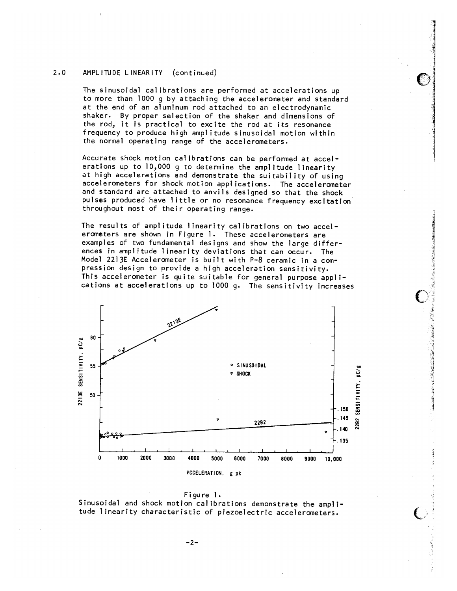#### $2 \cdot 0$ AMPLITUDE LINEARITY  $($ continued)

The sinusoidal calibrations are performed at accelerations up to more than 1000 g by attaching the accelerometer and standard at the end of an aluminum rod attached to an electrodynamic shaker. By proper selection of the shaker and dimensions of the rod, it is practical to excite the rod at its resonance frequency to produce high amplitude sinusoidal motion within the normal operating range of the accelerometers.

Accurate shock motion calibrations can be performed at accelerations up to 10,000 g to determine the amplitude linearity at high accelerations and demonstrate the suitability of using accelerometers for shock motion applications. The accelerometer and standard are attached to anvils designed so that the shock pulses produced have little or no resonance frequency excitation throughout most of their operating range.

The results of amplitude linearity calibrations on two accelerometers are shown in Figure 1. These accelerometers are examples of two fundamental designs and show the large differences in amplitude linearity deviations that can occur. The Model 2213E Accelerometer is built with P-8 ceramic in a compression design to provide a high acceleration sensitivity. This accelerometer is quite suitable for general purpose applications at accelerations up to 1000 g. The sensitivity increases





Sinusoidal and shock motion calibrations demonstrate the amplitude linearity characteristic of piezoelectric accelerometers.

 $-2-$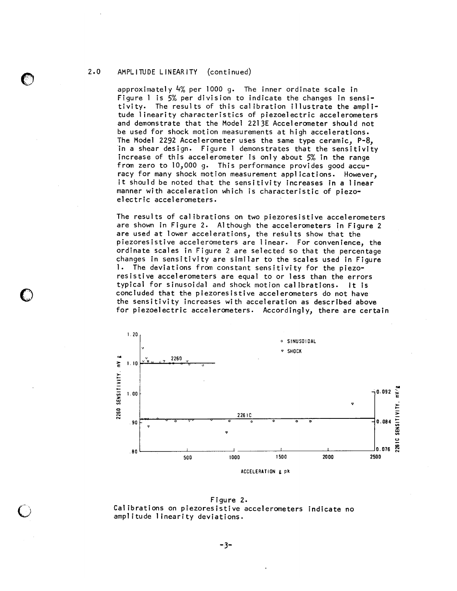#### $2.0$ AMPLITUDE LINEARITY (continued)

approximately  $4\%$  per 1000 g. The inner ordinate scale in Figure 1 is 5% per division to indicate the changes in sensitivity. The results of this calibration illustrate the amplitude linearity characteristics of piezoelectric accelerometers and demonstrate that the Model 2213E Accelerometer should not be used for shock motion measurements at high accelerations. The Model 2292 Accelerometer uses the same type ceramic, P-8, in a shear design. Figure I demonstrates that the sensitivity increase of this accelerometer is only about 5% in the range from zero to 10,000 g. This performance provides good accuracy for many shock motion measurement applications. However, it should be noted that the sensitivity increases in a linear manner with acceleration which is characteristic of piezoelectric accelerometers.

The results of calibrations on two piezoresistive accelerometers are shown in Figure 2. Although the accelerometers in Figure 2 are used at lower accelerations, the results show that the piezoresistive accelerometers are linear. For convenience, the ordinate scales in Figure 2 are selected so that the percentage changes in sensitivity are similar to the scales used in Figure 1. The deviations from constant sensitivity for the piezoresistive accelerometers are equal to or less than the errors typical for sinusoidal and shock motion calibrations. It is concluded that the piezoresistive accelerometers do not have the sensitivity increases with acceleration as described above for piezoelectric accelerometers. Accordingly, there are certain



Figure 2. Calibrations on piezoresistive accelerometers indicate no amplitude linearity deviations.

 $-3-$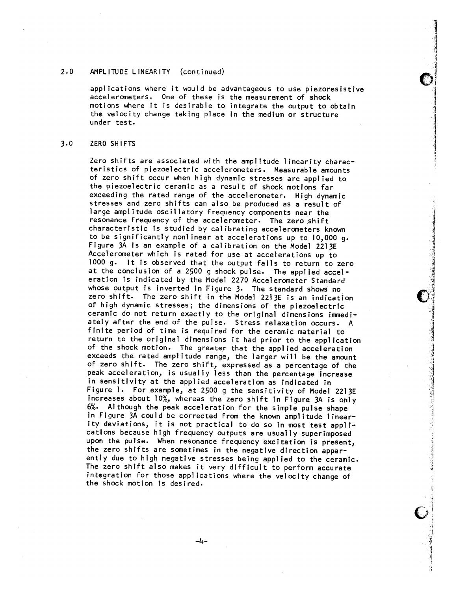#### $2.0$ AMPLITUDE LINEARITY (continued)

applications where it would be advantageous to use piezoresistive accelerometers. One of these is the measurement of shock motions where it is desirable to integrate the output to obtain the velocity change taking place in the medium or structure under test.

#### $3.0$ ZERO SHIFTS

Zero shifts are associated with the amplitude linearity characteristics of piezoelectric accelerometers. Measurable amounts of zero shift occur when high dynamic stresses are applied to the piezoelectric ceramic as a result of shock motions far exceeding the rated range of the accelerometer. High dynamic stresses and zero shifts can also be produced as a result of large amplitude oscillatory frequency components near the resonance frequency of the accelerometer. The zero shift characteristic is studied by calibrating accelerometers known to be significantly nonlinear at accelerations up to 10,000 q. Figure 3A is an example of a calibration on the Model 2213E Accelerometer which is rated for use at accelerations up to 1000 g. It is observed that the output fails to return to zero at the conclusion of a 2500 g shock pulse. The applied acceleration is indicated by the Model 2270 Accelerometer Standard whose output is inverted in Figure 3. The standard shows no zero shift. The zero shift in the Model 2213E is an indication of high dynamic stresses; the dimensions of the piezoelectric ceramic do not return exactly to the original dimensions immediately after the end of the pulse. Stress relaxation occurs. A finite period of time is required for the ceramic material to return to the original dimensions it had prior to the application of the shock motion. The greater that the applied acceleration exceeds the rated amplitude range, the larger will be the amount of zero shift. The zero shift, expressed as a percentage of the peak acceleration, is usually less than the percentage increase in sensitivity at the applied acceleration as indicated in Figure 1. For example, at 2500 g the sensitivity of Model 2213E increases about 10%, whereas the zero shift in Figure 3A is only 6%. Although the peak acceleration for the simple pulse shape in Figure 3A could be corrected from the known amplitude linearity deviations, it is not practical to do so in most test applications because high frequency outputs are usually superimposed upon the pulse. When resonance frequency excitation is present, the zero shifts are sometimes in the negative direction apparently due to high negative stresses being applied to the ceramic. The zero shift also makes it very difficult to perform accurate integration for those applications where the velocity change of the shock motion is desired.

 $-4-$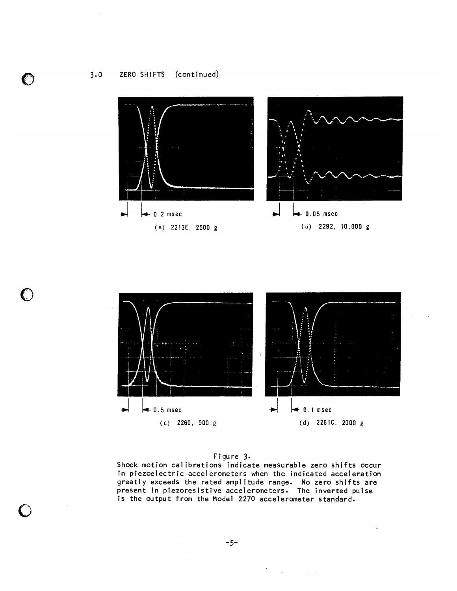$3.0$ ZERO SHIFTS (continued)

 $\bullet$ 





# Figure 3.

Shock motion calibrations indicate measurable zero shifts occur in piezoelectric accelerometers when the indicated acceleration greatly exceeds the rated amplitude range. No zero shifts are<br>present in piezoresistive accelerometers. The inverted pulse is the output from the Model 2270 accelerometer standard.

 $\mathcal{L}^{\text{max}}_{\text{max}}$  ,  $\mathcal{L}^{\text{max}}_{\text{max}}$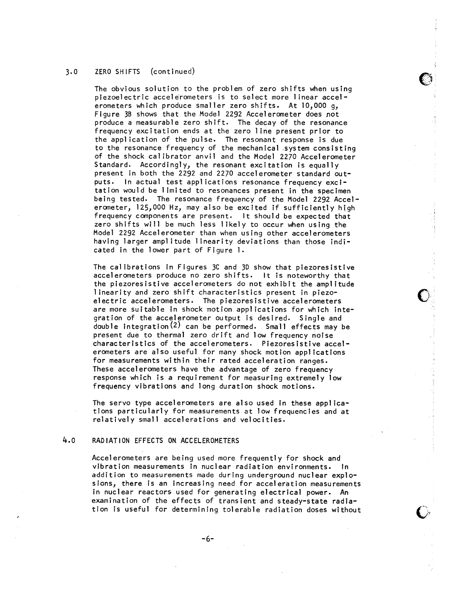#### ZERO SHIFTS (continued)  $3.0$

The obvious solution to the problem of zero shifts when using piezoelectric accelerometers is to select more linear accelerometers which produce smaller zero shifts. At 10,000 q, Figure 3B shows that the Model 2292 Accelerometer does not produce a measurable zero shift. The decay of the resonance frequency excitation ends at the zero line present prior to the application of the pulse. The resonant response is due to the resonance frequency of the mechanical system consisting of the shock calibrator anvil and the Model 2270 Accelerometer Standard. Accordingly, the resonant excitation is equally present in both the 2292 and 2270 accelerometer standard outputs. In actual test applications resonance frequency excitation would be limited to resonances present in the specimen being tested. The resonance frequency of the Model 2292 Accelerometer, 125,000 Hz, may also be excited if sufficiently high frequency components are present. It should be expected that zero shifts will be much less likely to occur when using the Model 2292 Accelerometer than when using other accelerometers having larger amplitude linearity deviations than those indicated in the lower part of Figure 1.

The calibrations in Figures 3C and 3D show that piezoresistive accelerometers produce no zero shifts. It is noteworthy that the piezoresistive accelerometers do not exhibit the amplitude linearity and zero shift characteristics present in piezoelectric accelerometers. The piezoresistive accelerometers are more suitable in shock motion applications for which integration of the accelerometer output is desired. Single and double integration<sup>(2)</sup> can be performed. Small effects may be present due to thermal zero drift and low frequency noise characteristics of the accelerometers. Piezoresistive accelerometers are also useful for many shock motion applications for measurements within their rated acceleration ranges. These accelerometers have the advantage of zero frequency response which is a requirement for measuring extremely low frequency vibrations and long duration shock motions.

The servo type accelerometers are also used in these applications particularly for measurements at low frequencies and at relatively small accelerations and velocities.

## $4.0$ RADIATION EFFECTS ON ACCELEROMETERS

Accelerometers are being used more frequently for shock and vibration measurements in nuclear radiation environments. In addition to measurements made during underground nuclear explosions, there is an increasing need for acceleration measurements in nuclear reactors used for generating electrical power. An examination of the effects of transient and steady-state radiation is useful for determining tolerable radiation doses without

 $-6-$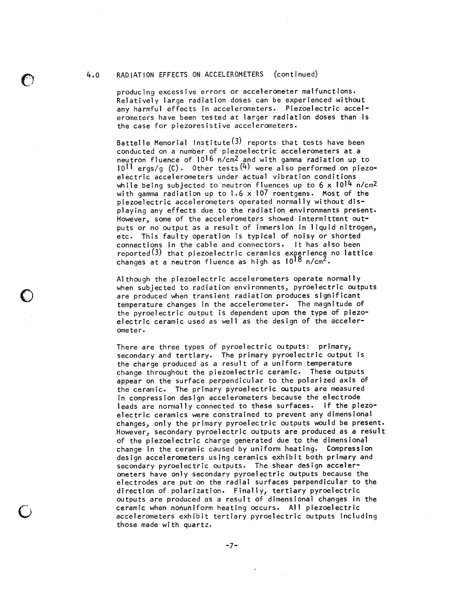## RADIATION EFFECTS ON ACCELEROMETERS (continued)  $4.0$

producing excessive errors or accelerometer malfunctions. Relatively large radiation doses can be experienced without any harmful effects in accelerometers. Piezoelectric accelerometers have been tested at larger radiation doses than is the case for piezoresistive accelerometers.

Battelle Memorial Institute<sup>(3)</sup> reports that tests have been conducted on a number of piezoelectric accelerometers at a neutron fluence of 1016 n/cm<sup>2</sup> and with gamma radiation up to  $10^{11}$  ergs/g (C). Other tests  $(4)$  were also performed on piezoelectric accelerometers under actual vibration conditions while being subjected to neutron fluences up to  $6 \times 10^{14}$  n/cm<sup>2</sup> with gamma radiation up to  $1.6 \times 107$  roentgens. Most of the piezoelectric accelerometers operated normally without displaying any effects due to the radiation environments present. However, some of the accelerometers showed intermittent outputs or no output as a result of immersion in liquid nitrogen, etc. This faulty operation is typical of noisy or shorted connections in the cable and connectors. It has also been reported $(3)$  that piezoelectric ceramics experience no lattice changes at a neutron fluence as high as 10<sup>18</sup> n/cm<sup>2</sup>.

Although the piezoelectric accelerometers operate normally when subjected to radiation environments, pyroelectric outputs are produced when transient radiation produces significant temperature changes in the accelerometer. The magnitude of the pyroelectric output is dependent upon the type of piezoelectric ceramic used as well as the design of the accelerometer.

There are three types of pyroelectric outputs: primary, secondary and tertiary. The primary pyroelectric output is the charge produced as a result of a uniform temperature change throughout the piezoelectric ceramic. These outputs appear on the surface perpendicular to the polarized axis of the ceramic. The primary pyroelectric outputs are measured in compression design accelerometers because the electrode leads are normally connected to these surfaces. If the piezoelectric ceramics were constrained to prevent any dimensional changes, only the primary pyroelectric outputs would be present. However, secondary pyroelectric outputs are produced as a result of the piezoelectric charge generated due to the dimensional change in the ceramic caused by uniform heating. Compression design accelerometers using ceramics exhibit both primary and secondary pyroelectric outputs. The shear design accelerometers have only secondary pyroelectric outputs because the electrodes are put on the radial surfaces perpendicular to the direction of polarization. Finally, tertiary pyroelectric outputs are produced as a result of dimensional changes in the ceramic when nonuniform heating occurs. All piezoelectric accelerometers exhibit tertiary pyroelectric outputs including those made with quartz.

 $-7-$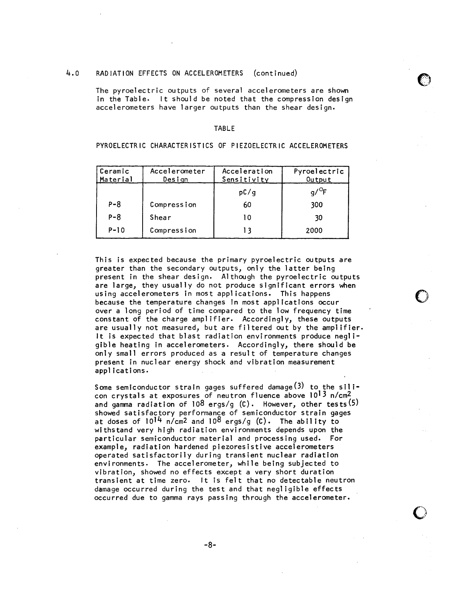#### $4.0$ RADIATION EFFECTS ON ACCELEROMETERS  $($ continued $)$

The pyroelectric outputs of several accelerometers are shown in the Table. It should be noted that the compression design accelerometers have larger outputs than the shear design.

## **TABLE**

PYROELECTRIC CHARACTERISTICS OF PIEZOELECTRIC ACCELEROMETERS

| Ceramic<br><u>  Material</u> | Accelerometer<br><u>Design</u> | Acceleration<br><u>Sensitivity</u> | Pyroelectric<br>Output |
|------------------------------|--------------------------------|------------------------------------|------------------------|
|                              |                                | pC/q                               |                        |
| $P - 8$                      | Compression                    | 60                                 | 300                    |
| $P - 8$                      | Shear                          | 10                                 | 30                     |
| $P - 10$                     | Compression                    | 13                                 | 2000                   |

This is expected because the primary pyroelectric outputs are greater than the secondary outputs, only the latter being present in the shear design. Although the pyroelectric outputs are large, they usually do not produce significant errors when using accelerometers in most applications. This happens because the temperature changes in most applications occur over a long period of time compared to the low frequency time constant of the charge amplifier. Accordingly, these outputs are usually not measured, but are filtered out by the amplifier. It is expected that blast radiation environments produce negligible heating in accelerometers. Accordingly, there should be only small errors produced as a result of temperature changes present in nuclear energy shock and vibration measurement applications.

Some semiconductor strain gages suffered damage  $(3)$  to the silicon crystals at exposures of neutron fluence above 10<sup>13</sup> n/cm<sup>2</sup> and gamma radiation of  $108$  ergs/g (C). However, other tests (5) showed satisfactory performance of semiconductor strain gages at doses of  $10^{14}$  n/cm<sup>2</sup> and  $10^{8}$  ergs/g (C). The ability to withstand very high radiation environments depends upon the particular semiconductor material and processing used. For example, radiation hardened piezoresistive accelerometers operated satisfactorily during transient nuclear radiation environments. The accelerometer, while being subjected to vibration, showed no effects except a very short duration transient at time zero. It is felt that no detectable neutron damage occurred during the test and that negligible effects occurred due to gamma rays passing through the accelerometer.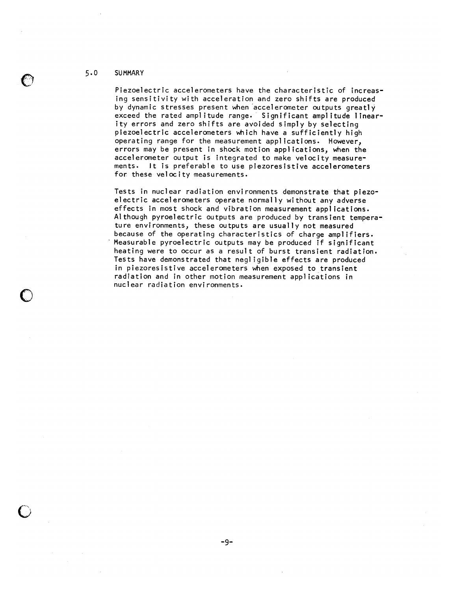#### $5.0$ **SUMMARY**

Piezoelectric accelerometers have the characteristic of increasing sensitivity with acceleration and zero shifts are produced by dynamic stresses present when accelerometer outputs greatly exceed the rated amplitude range. Significant amplitude linearity errors and zero shifts are avoided simply by selecting piezoelectric accelerometers which have a sufficiently high operating range for the measurement applications. However, errors may be present in shock motion applications, when the accelerometer output is integrated to make velocity measurements. It is preferable to use piezoresistive accelerometers for these velocity measurements.

Tests in nuclear radiation environments demonstrate that piezoelectric accelerometers operate normally without any adverse effects in most shock and vibration measurement applications. Although pyroelectric outputs are produced by transient temperature environments, these outputs are usually not measured because of the operating characteristics of charge amplifiers. Measurable pyroelectric outputs may be produced if significant heating were to occur as a result of burst transient radiation. Tests have demonstrated that negligible effects are produced in piezoresistive accelerometers when exposed to transient radiation and in other motion measurement applications in nuclear radiation environments.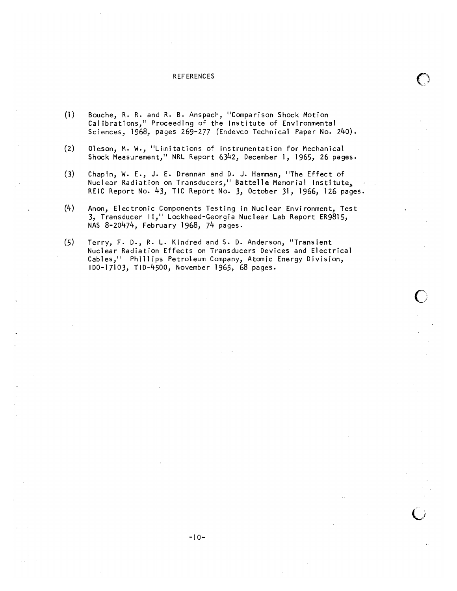## **REFERENCES**

- $(1)$ Bouche, R. R. and R. B. Anspach, "Comparison Shock Motion Calibrations," Proceeding of the Institute of Environmental Sciences, 1968, pages 269-277 (Endevco Technical Paper No. 240).
- $(2)$ Oleson, M. W., "Limitations of Instrumentation for Mechanical Shock Measurement," NRL Report 6342, December 1, 1965, 26 pages.
- Chapin, W. E., J. E. Drennan and D. J. Hamman, "The Effect of  $(3)$ Nuclear Radiation on Transducers," Battelle Memorial Institute, REIC Report No. 43, TIC Report No. 3, October 31, 1966, 126 pages.
- $(4)$ Anon, Electronic Components Testing in Nuclear Environment, Test 3, Transducer II," Lockheed-Georgia Nuclear Lab Report ER9815, NAS 8-20474, February 1968, 74 pages.
- $(5)$ Terry, F. D., R. L. Kindred and S. D. Anderson, "Transient Nuclear Radiation Effects on Transducers Devices and Electrical Cables," Phillips Petroleum Company, Atomic Energy Division, 100-17103, T1D-4500, November 1965, 68 pages.